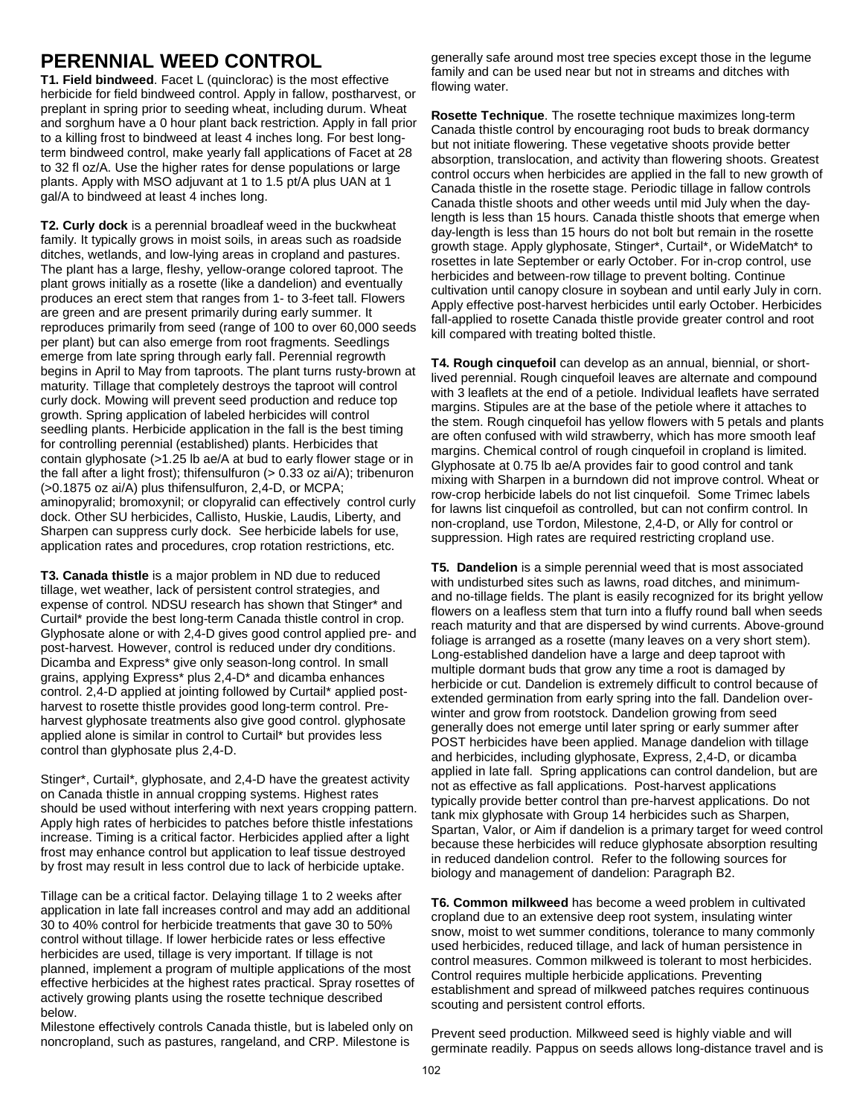# **PERENNIAL WEED CONTROL**

**T1. Field bindweed**. Facet L (quinclorac) is the most effective herbicide for field bindweed control. Apply in fallow, postharvest, or preplant in spring prior to seeding wheat, including durum. Wheat and sorghum have a 0 hour plant back restriction. Apply in fall prior to a killing frost to bindweed at least 4 inches long. For best longterm bindweed control, make yearly fall applications of Facet at 28 to 32 fl oz/A. Use the higher rates for dense populations or large plants. Apply with MSO adjuvant at 1 to 1.5 pt/A plus UAN at 1 gal/A to bindweed at least 4 inches long.

**T2. Curly dock** is a perennial broadleaf weed in the buckwheat family. It typically grows in moist soils, in areas such as roadside ditches, wetlands, and low-lying areas in cropland and pastures. The plant has a large, fleshy, yellow-orange colored taproot. The plant grows initially as a rosette (like a dandelion) and eventually produces an erect stem that ranges from 1- to 3-feet tall. Flowers are green and are present primarily during early summer. It reproduces primarily from seed (range of 100 to over 60,000 seeds per plant) but can also emerge from root fragments. Seedlings emerge from late spring through early fall. Perennial regrowth begins in April to May from taproots. The plant turns rusty-brown at maturity. Tillage that completely destroys the taproot will control curly dock. Mowing will prevent seed production and reduce top growth. Spring application of labeled herbicides will control seedling plants. Herbicide application in the fall is the best timing for controlling perennial (established) plants. Herbicides that contain glyphosate (>1.25 lb ae/A at bud to early flower stage or in the fall after a light frost); thifensulfuron (> 0.33 oz ai/A); tribenuron (>0.1875 oz ai/A) plus thifensulfuron, 2,4-D, or MCPA; aminopyralid; bromoxynil; or clopyralid can effectively control curly dock. Other SU herbicides, Callisto, Huskie, Laudis, Liberty, and Sharpen can suppress curly dock. See herbicide labels for use, application rates and procedures, crop rotation restrictions, etc.

**T3. Canada thistle** is a major problem in ND due to reduced tillage, wet weather, lack of persistent control strategies, and expense of control. NDSU research has shown that Stinger\* and Curtail\* provide the best long-term Canada thistle control in crop. Glyphosate alone or with 2,4-D gives good control applied pre- and post-harvest. However, control is reduced under dry conditions. Dicamba and Express\* give only season-long control. In small grains, applying Express\* plus 2,4-D\* and dicamba enhances control. 2,4-D applied at jointing followed by Curtail\* applied postharvest to rosette thistle provides good long-term control. Preharvest glyphosate treatments also give good control. glyphosate applied alone is similar in control to Curtail\* but provides less control than glyphosate plus 2,4-D.

Stinger\*, Curtail\*, glyphosate, and 2,4-D have the greatest activity on Canada thistle in annual cropping systems. Highest rates should be used without interfering with next years cropping pattern. Apply high rates of herbicides to patches before thistle infestations increase. Timing is a critical factor. Herbicides applied after a light frost may enhance control but application to leaf tissue destroyed by frost may result in less control due to lack of herbicide uptake.

Tillage can be a critical factor. Delaying tillage 1 to 2 weeks after application in late fall increases control and may add an additional 30 to 40% control for herbicide treatments that gave 30 to 50% control without tillage. If lower herbicide rates or less effective herbicides are used, tillage is very important. If tillage is not planned, implement a program of multiple applications of the most effective herbicides at the highest rates practical. Spray rosettes of actively growing plants using the rosette technique described below.

Milestone effectively controls Canada thistle, but is labeled only on noncropland, such as pastures, rangeland, and CRP. Milestone is

generally safe around most tree species except those in the legume family and can be used near but not in streams and ditches with flowing water.

**Rosette Technique**. The rosette technique maximizes long-term Canada thistle control by encouraging root buds to break dormancy but not initiate flowering. These vegetative shoots provide better absorption, translocation, and activity than flowering shoots. Greatest control occurs when herbicides are applied in the fall to new growth of Canada thistle in the rosette stage. Periodic tillage in fallow controls Canada thistle shoots and other weeds until mid July when the daylength is less than 15 hours. Canada thistle shoots that emerge when day-length is less than 15 hours do not bolt but remain in the rosette growth stage. Apply glyphosate, Stinger\*, Curtail\*, or WideMatch\* to rosettes in late September or early October. For in-crop control, use herbicides and between-row tillage to prevent bolting. Continue cultivation until canopy closure in soybean and until early July in corn. Apply effective post-harvest herbicides until early October. Herbicides fall-applied to rosette Canada thistle provide greater control and root kill compared with treating bolted thistle.

**T4. Rough cinquefoil** can develop as an annual, biennial, or shortlived perennial. Rough cinquefoil leaves are alternate and compound with 3 leaflets at the end of a petiole. Individual leaflets have serrated margins. Stipules are at the base of the petiole where it attaches to the stem. Rough cinquefoil has yellow flowers with 5 petals and plants are often confused with wild strawberry, which has more smooth leaf margins. Chemical control of rough cinquefoil in cropland is limited. Glyphosate at 0.75 lb ae/A provides fair to good control and tank mixing with Sharpen in a burndown did not improve control. Wheat or row-crop herbicide labels do not list cinquefoil. Some Trimec labels for lawns list cinquefoil as controlled, but can not confirm control. In non-cropland, use Tordon, Milestone, 2,4-D, or Ally for control or suppression. High rates are required restricting cropland use.

**T5. Dandelion** is a simple perennial weed that is most associated with undisturbed sites such as lawns, road ditches, and minimumand no-tillage fields. The plant is easily recognized for its bright yellow flowers on a leafless stem that turn into a fluffy round ball when seeds reach maturity and that are dispersed by wind currents. Above-ground foliage is arranged as a rosette (many leaves on a very short stem). Long-established dandelion have a large and deep taproot with multiple dormant buds that grow any time a root is damaged by herbicide or cut. Dandelion is extremely difficult to control because of extended germination from early spring into the fall. Dandelion overwinter and grow from rootstock. Dandelion growing from seed generally does not emerge until later spring or early summer after POST herbicides have been applied. Manage dandelion with tillage and herbicides, including glyphosate, Express, 2,4-D, or dicamba applied in late fall. Spring applications can control dandelion, but are not as effective as fall applications. Post-harvest applications typically provide better control than pre-harvest applications. Do not tank mix glyphosate with Group 14 herbicides such as Sharpen, Spartan, Valor, or Aim if dandelion is a primary target for weed control because these herbicides will reduce glyphosate absorption resulting in reduced dandelion control. Refer to the following sources for biology and management of dandelion: Paragraph B2.

**T6. Common milkweed** has become a weed problem in cultivated cropland due to an extensive deep root system, insulating winter snow, moist to wet summer conditions, tolerance to many commonly used herbicides, reduced tillage, and lack of human persistence in control measures. Common milkweed is tolerant to most herbicides. Control requires multiple herbicide applications. Preventing establishment and spread of milkweed patches requires continuous scouting and persistent control efforts.

Prevent seed production. Milkweed seed is highly viable and will germinate readily. Pappus on seeds allows long-distance travel and is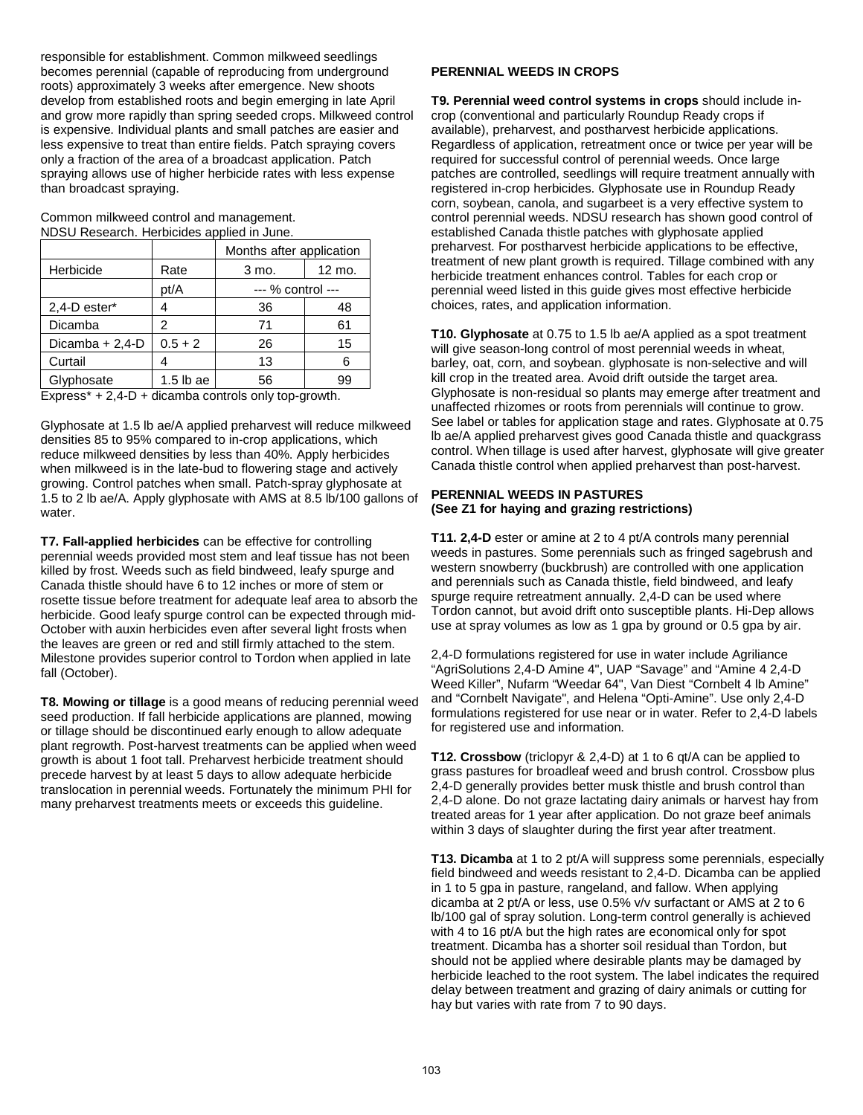responsible for establishment. Common milkweed seedlings becomes perennial (capable of reproducing from underground roots) approximately 3 weeks after emergence. New shoots develop from established roots and begin emerging in late April and grow more rapidly than spring seeded crops. Milkweed control is expensive. Individual plants and small patches are easier and less expensive to treat than entire fields. Patch spraying covers only a fraction of the area of a broadcast application. Patch spraying allows use of higher herbicide rates with less expense than broadcast spraying.

Common milkweed control and management. NDSU Research. Herbicides applied in June.

|                 |             | Months after application |        |  |
|-----------------|-------------|--------------------------|--------|--|
| Herbicide       | Rate        | 3 mo.                    | 12 mo. |  |
|                 | pt/A        | --- % control ---        |        |  |
| 2,4-D ester*    |             | 36                       | 48     |  |
| Dicamba         | 2           | 71                       | 61     |  |
| Dicamba + 2,4-D | $0.5 + 2$   | 26                       | 15     |  |
| Curtail         |             | 13                       | 6      |  |
| Glyphosate      | $1.5$ lb ae | 56                       | 99     |  |

 $Express* + 2,4-D + dicamba controls only top-growth.$ 

Glyphosate at 1.5 lb ae/A applied preharvest will reduce milkweed densities 85 to 95% compared to in-crop applications, which reduce milkweed densities by less than 40%. Apply herbicides when milkweed is in the late-bud to flowering stage and actively growing. Control patches when small. Patch-spray glyphosate at 1.5 to 2 lb ae/A. Apply glyphosate with AMS at 8.5 lb/100 gallons of water.

**T7. Fall-applied herbicides** can be effective for controlling perennial weeds provided most stem and leaf tissue has not been killed by frost. Weeds such as field bindweed, leafy spurge and Canada thistle should have 6 to 12 inches or more of stem or rosette tissue before treatment for adequate leaf area to absorb the herbicide. Good leafy spurge control can be expected through mid-October with auxin herbicides even after several light frosts when the leaves are green or red and still firmly attached to the stem. Milestone provides superior control to Tordon when applied in late fall (October).

**T8. Mowing or tillage** is a good means of reducing perennial weed seed production. If fall herbicide applications are planned, mowing or tillage should be discontinued early enough to allow adequate plant regrowth. Post-harvest treatments can be applied when weed growth is about 1 foot tall. Preharvest herbicide treatment should precede harvest by at least 5 days to allow adequate herbicide translocation in perennial weeds. Fortunately the minimum PHI for many preharvest treatments meets or exceeds this guideline.

## **PERENNIAL WEEDS IN CROPS**

**T9. Perennial weed control systems in crops** should include incrop (conventional and particularly Roundup Ready crops if available), preharvest, and postharvest herbicide applications. Regardless of application, retreatment once or twice per year will be required for successful control of perennial weeds. Once large patches are controlled, seedlings will require treatment annually with registered in-crop herbicides. Glyphosate use in Roundup Ready corn, soybean, canola, and sugarbeet is a very effective system to control perennial weeds. NDSU research has shown good control of established Canada thistle patches with glyphosate applied preharvest. For postharvest herbicide applications to be effective, treatment of new plant growth is required. Tillage combined with any herbicide treatment enhances control. Tables for each crop or perennial weed listed in this guide gives most effective herbicide choices, rates, and application information.

**T10. Glyphosate** at 0.75 to 1.5 lb ae/A applied as a spot treatment will give season-long control of most perennial weeds in wheat, barley, oat, corn, and soybean. glyphosate is non-selective and will kill crop in the treated area. Avoid drift outside the target area. Glyphosate is non-residual so plants may emerge after treatment and unaffected rhizomes or roots from perennials will continue to grow. See label or tables for application stage and rates. Glyphosate at 0.75 lb ae/A applied preharvest gives good Canada thistle and quackgrass control. When tillage is used after harvest, glyphosate will give greater Canada thistle control when applied preharvest than post-harvest.

## **PERENNIAL WEEDS IN PASTURES (See Z1 for haying and grazing restrictions)**

**T11. 2,4-D** ester or amine at 2 to 4 pt/A controls many perennial weeds in pastures. Some perennials such as fringed sagebrush and western snowberry (buckbrush) are controlled with one application and perennials such as Canada thistle, field bindweed, and leafy spurge require retreatment annually. 2,4-D can be used where Tordon cannot, but avoid drift onto susceptible plants. Hi-Dep allows use at spray volumes as low as 1 gpa by ground or 0.5 gpa by air.

2,4-D formulations registered for use in water include Agriliance "AgriSolutions 2,4-D Amine 4", UAP "Savage" and "Amine 4 2,4-D Weed Killer", Nufarm "Weedar 64", Van Diest "Cornbelt 4 lb Amine" and "Cornbelt Navigate", and Helena "Opti-Amine". Use only 2,4-D formulations registered for use near or in water. Refer to 2,4-D labels for registered use and information.

**T12. Crossbow** (triclopyr & 2,4-D) at 1 to 6 qt/A can be applied to grass pastures for broadleaf weed and brush control. Crossbow plus 2,4-D generally provides better musk thistle and brush control than 2,4-D alone. Do not graze lactating dairy animals or harvest hay from treated areas for 1 year after application. Do not graze beef animals within 3 days of slaughter during the first year after treatment.

**T13. Dicamba** at 1 to 2 pt/A will suppress some perennials, especially field bindweed and weeds resistant to 2,4-D. Dicamba can be applied in 1 to 5 gpa in pasture, rangeland, and fallow. When applying dicamba at 2 pt/A or less, use 0.5% v/v surfactant or AMS at 2 to 6 lb/100 gal of spray solution. Long-term control generally is achieved with 4 to 16 pt/A but the high rates are economical only for spot treatment. Dicamba has a shorter soil residual than Tordon, but should not be applied where desirable plants may be damaged by herbicide leached to the root system. The label indicates the required delay between treatment and grazing of dairy animals or cutting for hay but varies with rate from 7 to 90 days.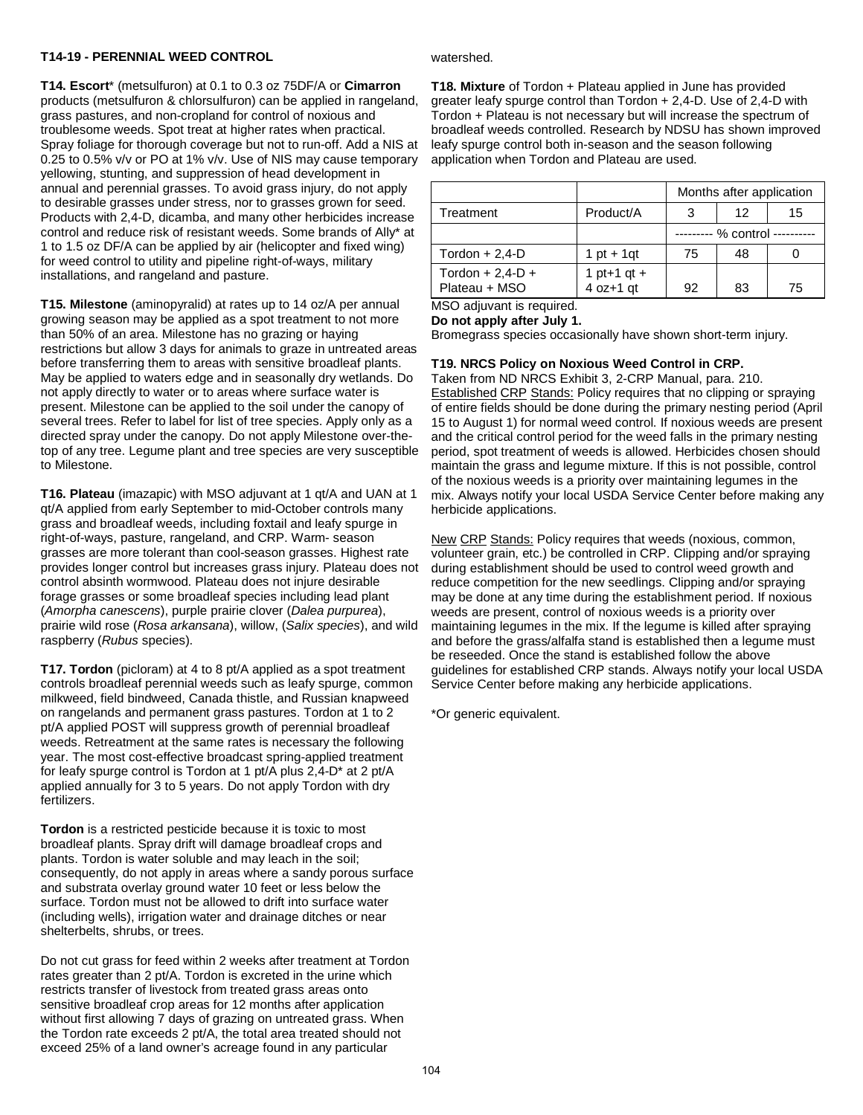## **T14-19 - PERENNIAL WEED CONTROL**

**T14. Escort**\* (metsulfuron) at 0.1 to 0.3 oz 75DF/A or **Cimarron** products (metsulfuron & chlorsulfuron) can be applied in rangeland, grass pastures, and non-cropland for control of noxious and troublesome weeds. Spot treat at higher rates when practical. Spray foliage for thorough coverage but not to run-off. Add a NIS at 0.25 to 0.5% v/v or PO at 1% v/v. Use of NIS may cause temporary yellowing, stunting, and suppression of head development in annual and perennial grasses. To avoid grass injury, do not apply to desirable grasses under stress, nor to grasses grown for seed. Products with 2,4-D, dicamba, and many other herbicides increase control and reduce risk of resistant weeds. Some brands of Ally\* at 1 to 1.5 oz DF/A can be applied by air (helicopter and fixed wing) for weed control to utility and pipeline right-of-ways, military installations, and rangeland and pasture.

**T15. Milestone** (aminopyralid) at rates up to 14 oz/A per annual growing season may be applied as a spot treatment to not more than 50% of an area. Milestone has no grazing or haying restrictions but allow 3 days for animals to graze in untreated areas before transferring them to areas with sensitive broadleaf plants. May be applied to waters edge and in seasonally dry wetlands. Do not apply directly to water or to areas where surface water is present. Milestone can be applied to the soil under the canopy of several trees. Refer to label for list of tree species. Apply only as a directed spray under the canopy. Do not apply Milestone over-thetop of any tree. Legume plant and tree species are very susceptible to Milestone.

**T16. Plateau** (imazapic) with MSO adjuvant at 1 qt/A and UAN at 1 qt/A applied from early September to mid-October controls many grass and broadleaf weeds, including foxtail and leafy spurge in right-of-ways, pasture, rangeland, and CRP. Warm- season grasses are more tolerant than cool-season grasses. Highest rate provides longer control but increases grass injury. Plateau does not control absinth wormwood. Plateau does not injure desirable forage grasses or some broadleaf species including lead plant (*Amorpha canescens*), purple prairie clover (*Dalea purpurea*), prairie wild rose (*Rosa arkansana*), willow, (*Salix species*), and wild raspberry (*Rubus* species).

**T17. Tordon** (picloram) at 4 to 8 pt/A applied as a spot treatment controls broadleaf perennial weeds such as leafy spurge, common milkweed, field bindweed, Canada thistle, and Russian knapweed on rangelands and permanent grass pastures. Tordon at 1 to 2 pt/A applied POST will suppress growth of perennial broadleaf weeds. Retreatment at the same rates is necessary the following year. The most cost-effective broadcast spring-applied treatment for leafy spurge control is Tordon at 1 pt/A plus 2,4-D\* at 2 pt/A applied annually for 3 to 5 years. Do not apply Tordon with dry fertilizers.

**Tordon** is a restricted pesticide because it is toxic to most broadleaf plants. Spray drift will damage broadleaf crops and plants. Tordon is water soluble and may leach in the soil; consequently, do not apply in areas where a sandy porous surface and substrata overlay ground water 10 feet or less below the surface. Tordon must not be allowed to drift into surface water (including wells), irrigation water and drainage ditches or near shelterbelts, shrubs, or trees.

Do not cut grass for feed within 2 weeks after treatment at Tordon rates greater than 2 pt/A. Tordon is excreted in the urine which restricts transfer of livestock from treated grass areas onto sensitive broadleaf crop areas for 12 months after application without first allowing 7 days of grazing on untreated grass. When the Tordon rate exceeds 2 pt/A, the total area treated should not exceed 25% of a land owner's acreage found in any particular

#### watershed.

**T18. Mixture** of Tordon + Plateau applied in June has provided greater leafy spurge control than Tordon + 2,4-D. Use of 2,4-D with Tordon + Plateau is not necessary but will increase the spectrum of broadleaf weeds controlled. Research by NDSU has shown improved leafy spurge control both in-season and the season following application when Tordon and Plateau are used.

|                                        |                              | Months after application |    |    |
|----------------------------------------|------------------------------|--------------------------|----|----|
| Treatment                              | Product/A                    |                          | 12 | 15 |
|                                        |                              |                          |    |    |
| Tordon $+ 2,4$ -D                      | 1 pt + 1 qt                  | 75                       | 48 |    |
| Tordon $+ 2,4$ -D $+$<br>Plateau + MSO | 1 pt+1 $qt +$<br>$4$ oz+1 gt | 92                       | 83 | 75 |

MSO adiuvant is required. **Do not apply after July 1.**

Bromegrass species occasionally have shown short-term injury.

# **T19. NRCS Policy on Noxious Weed Control in CRP.**

Taken from ND NRCS Exhibit 3, 2-CRP Manual, para. 210. Established CRP Stands: Policy requires that no clipping or spraying of entire fields should be done during the primary nesting period (April 15 to August 1) for normal weed control. If noxious weeds are present and the critical control period for the weed falls in the primary nesting period, spot treatment of weeds is allowed. Herbicides chosen should maintain the grass and legume mixture. If this is not possible, control of the noxious weeds is a priority over maintaining legumes in the mix. Always notify your local USDA Service Center before making any herbicide applications.

New CRP Stands: Policy requires that weeds (noxious, common, volunteer grain, etc.) be controlled in CRP. Clipping and/or spraying during establishment should be used to control weed growth and reduce competition for the new seedlings. Clipping and/or spraying may be done at any time during the establishment period. If noxious weeds are present, control of noxious weeds is a priority over maintaining legumes in the mix. If the legume is killed after spraying and before the grass/alfalfa stand is established then a legume must be reseeded. Once the stand is established follow the above guidelines for established CRP stands. Always notify your local USDA Service Center before making any herbicide applications.

\*Or generic equivalent.